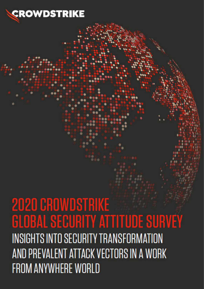

# **2020 CROWDSTRIKE GLOBAL SECURITY ATTITUDE SURVEY INSIGHTS INTO SECURITY TRANSFORMATION** AND PREVALENT ATTACK VECTORS IN A WORK **FROM ANYWHERE WORLD**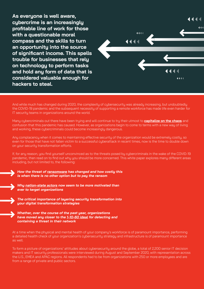**As everyone is well aware, cybercrime is an increasingly profitable line of work for those with a questionable moral compass and the skills to turn an opportunity into the source of significant income. This spells trouble for businesses that rely on technology to perform tasks and hold any form of data that is considered valuable enough for hackers to steal.**



And while much has changed during 2020, the complexity of cybersecurity was already increasing, but undoubtedly the COVID-19 pandemic and the subsequent necessity of supporting a remote workforce has made life even harder for IT securitu teams in organizations around the world.

Many cybercriminals out there have been trying and will continue to try their utmost to **[capitalize on the chaos](https://www.crowdstrike.com/blog/covid-19-cyber-threats/)** and confusion that this pandemic has caused. However, as organizations begin to come to terms with a new way of living and working, these cybercriminals could become increasingly dangerous.

Any complacency when it comes to maintaining effective security of the organization would be extremely costly, so even for those that have not fallen victim to a successful cyberattack in recent times, now is the time to double down on your security transformation efforts.

If, for any reason, you find yourself unconvinced as to the threats posed by cybercriminals in the wake of the COVID-19 pandemic, then read on to find out why you should be more concerned. This white paper explores many different areas including, but not limited to, the following:

*How the threat of [ransomware](https://www.crowdstrike.com/epp-101/what-is-ransomware/) has changed and how costly this is when there is no other option but to pay the ransom*

*Why [nation-state actors](https://www.crowdstrike.com/blog/meet-the-adversaries/) now seem to be more motivated than ever to target organizations*

*The critical importance of layering security transformation into your digital transformation strategies*

*Whether, over the course of the past year, organizations have moved any closer to the [1-10-60 ideal](https://www.crowdstrike.com/blog/crowdstrike-cto-explains-breakout-time-a-critical-metric-in-stopping-breaches/) for detecting and containing a threat in their network*

At a time when the physical and mental health of your company's workforce is of paramount importance, performing a detailed health check of your organization's cybersecurity strategy and infrastructure is of paramount importance as well.

To form a picture of organizations' attitudes about cybersecurity around the globe, a total of 2,200 senior IT decision makers and IT security professionals were interviewed during August and September 2020, with representation across the U.S., EMEA and APAC regions. All respondents had to be from organizations with 250 or more employees and are from a range of private and public sectors.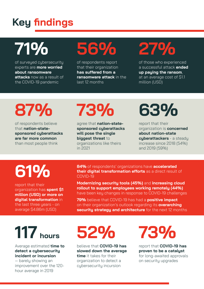# **Key findings**

# **71%**

of surveyed cybersecurity experts are **more worried about ransomware attacks** now as a result of the COVID-19 pandemic

# **56%**

of respondents report that their organization **has suffered from a ransomware attack** in the last 12 months

# **27%**

of those who experienced a successful attack **ended up paying the ransom**, at an average cost of \$1.1 million (USD)

# **87%**

of respondents believe that **nation-statesponsored cyberattacks are far more common** than most people think

# **73%**

agree that **nation-statesponsored cyberattacks will pose the single biggest threat** to organizations like theirs in 2021

# **63%**

report that their organization is **concerned about nation-state cyberattackers** - a steady increase since 2018 (54%) and 2019 (59%)

# **61%**

report that their organization has **spent \$1 million (USD) or more on digital transformation** in the last three years - on average \$4.86m (USD)

**84%** of respondents' organizations have **accelerated their digital transformation efforts** as a direct result of COVID-19

**Modernizing security tools (45%)** and **increasing cloud rollout to support employees working remotely (44%)** have been key changes in response to COVID-19 challenges

**79%** believe that COVID-19 has had a **positive impact**  on their organization's outlook regarding its **overarching security strategy and architecture** for the next 12 months

# **117 hours**

Average estimated **time to detect a cybersecurity incident or incursion**

— barely showing an improvement over the 120 hour average in 2019

# **52%**

believe that **COVID-19 has slowed down the average time** it takes for their organization to detect a cybersecurity incursion

**73%**

report that **COVID-19 has proven to be a catalyst** for long-awaited approvals on security upgrades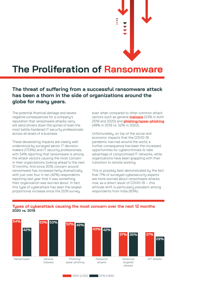**The Proliferation of Ransomware**

### **The threat of suffering from a successful ransomware attack has been a thorn in the side of organizations around the globe for many years.**

The potential financial damage and severe negative consequences for a company's reputation that ransomware attacks carry will send shivers down the spines of even the most battle-hardened IT security professionals across all levels of a business.

These devastating impacts are clearly well understood by surveyed senior IT decisionmakers (ITDMs) and IT security professionals, with 54% reporting that ransomware is among the attack vectors causing the most concern in their organizations looking ahead to the next 12 months. And since 2019, concern around ransomware has increased fairly dramatically, with just over four in ten (42%) respondents reporting last year that it was something their organization was worried about. In fact, this type of cyberattack has seen the largest proportional increase since the 2019 survey,

even when compared to other common attack vectors such as general **[malware](https://www.crowdstrike.com/epp-101/malware/)** (53% in both 2019 and 2020) and **[phishing](https://www.crowdstrike.com/epp-101/what-is-phishing/)[/spear-phishing](https://www.crowdstrike.com/epp-101/spear-phishing/)** (49% in 2019 vs. 52% in 2020).

Unfortunately, on top of the social and economic impacts that the COVID-19 pandemic has had around the world, a further consequence has been the increased opportunities for cybercriminals to take advantage of compromised IT networks, while organizations have been grappling with their transition to remote working.

This is possibly best demonstrated by the fact that 71% of surveyed cybersecurity experts are more worried about ransomware attacks now, as a direct result of COVID-19 — this attitude shift is particularly prevalent among respondents from India (83%).



#### **Types of cyberattack causing the most concern over the next 12 months 2020 vs. 2019**

2020 (2,200) 2019 (1,900)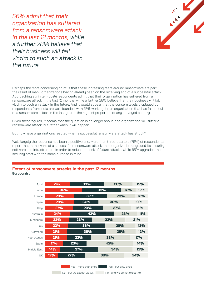*56% admit that their organization has suffered from a ransomware attack in the last 12 months, while a further 28% believe that their business will fall victim to such an attack in the future*



Perhaps the more concerning point is that these increasing fears around ransomware are partly the result of many organizations having already been on the receiving end of a successful attack. Approaching six in ten (56%) respondents admit that their organization has suffered from a ransomware attack in the last 12 months, while a further 28% believe that their business will fall victim to such an attack in the future. And it would appear that the concern levels displayed by respondents from India are well-founded, with 75% working for an organization that has fallen foul of a ransomware attack in the last year – the highest proportion of any surveyed country.

Given these figures, it seems that the question is no longer about if an organization will suffer a ransomware attack, but rather when it will happen.

But how have organizations reacted when a successful ransomware attack has struck?

Well, largely the response has been a positive one. More than three-quarters (76%) of respondents report that in the wake of a successful ransomware attack, their organization upgraded its security software and infrastructure in order to reduce the risk of future attacks, while 65% upgraded their security staff with the same purpose in mind.



### **Extent of ransomware attacks in the past 12 months By country**

No - but we expect we will No - and we do not expect to

Yes - more than once Yes - but only once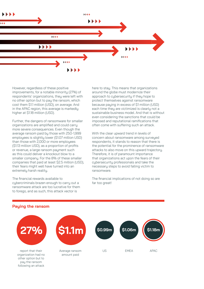

However, regardless of these positive improvements, for a notable minority (27%) of respondents' organizations, they were left with no other option but to pay the ransom, which cost them \$1.1 million (USD), on average. And in the APAC region, this average is markedly higher at \$1.18 million (USD).

Further, the dangers of ransomware for smaller organizations are amplified and could carry more severe consequences. Even though the average ransom paid by those with 250-1,999 employees is slightly lower (\$1.07 million USD) than those with 2,000 or more employees (\$1.13 million USD), as a proportion of profits or revenue, a large ransom payment such as this could deliver a knockout blow to a smaller company. For the 8% of these smaller companies that paid at least \$2.5 million (USD), their fears might well have turned into an extremely harsh reality.

The financial rewards available to cybercriminals brazen enough to carry out a ransomware attack are too lucrative for them to forego, and as such, this attack vector is

here to stay. This means that organizations around the globe must modernize their approach to cybersecurity if they hope to protect themselves against ransomware because paying in excess of \$1 million (USD) each time they are victimized is clearly not a sustainable business model. And that is without even considering the sanctions that could be imposed and reputational ramifications that often come with suffering such an attack.

With the clear upward trend in levels of concern about ransomware among surveyed respondents, it stands to reason that there is the potential for the prominence of ransomware attacks to also move on this upward trajectory. Therefore, it is of paramount importance that organizations act upon the fears of their cybersecurity professionals and take the necessary steps to avoid falling victim to ransomware.

The financial implications of not doing so are far too great!

### **Paying the ransom**

following an attack

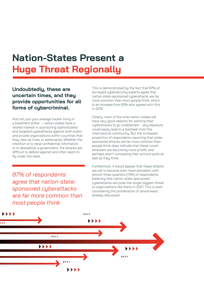## **Nation-States Present a Huge Threat Regionally**

### **Undoubtedly, these are uncertain times, and they provide opportunities for all forms of cybercriminal.**

And not just your average hacker living in a basement either — nation-states have a vested interest in sponsoring sophisticated and targeted cyberattacks against both public and private organizations within countries that they view as rivals or adversaries. Whether the intention is to steal confidential information or to destabilize a government, the attacks are difficult to defend against and often seem to fly under the radar.

*87% of respondents agree that nation-statesponsored cyberattacks are far more common than most people think*

This is demonstrated by the fact that 87% of surveyed cybersecurity experts agree that nation-state-sponsored cyberattacks are far more common than most people think, which is an increase from 81% who agreed with this in 2019.

Clearly, most of the time nation-states will have very good reasons for wanting their cyberattacks to go undetected — any exposure could easily lead to a backlash from the international community. But the increased proportion of respondents reporting that statesponsored attacks are far more common than people think does indicate that these covert attackers are becoming more prolific and perhaps aren't concealing their actions quite as well as they think.

Furthermore, it would appear that these attacks are set to become even more prevalent, with almost three-quarters (73%) of respondents believing that nation-state-sponsored cyberattacks will pose the single biggest threat to organizations like theirs in 2021. This is even considering the proliferation of ransomware already discussed.

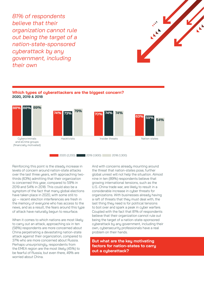*81% of respondents believe that their organization cannot rule out being the target of a nation-state-sponsored cyberattack by any government, including their own*





**Which types of cyberattackers are the biggest concern?**

2020 (2,200) 2019 (1,900) 2018 (1,300)

Reinforcing this point is the steady increase in levels of concern around nation-state attacks over the last three years, with approaching twothirds (63%) admitting that their organization is concerned this year, compared to 59% in 2019 and 54% in 2018. This could also be a symptom of the fact that many global elections have taken place in 2020, with some still to go — recent election interferences are fresh in the memory of everyone who has access to the news, and as a result, the fears around this type of attack have naturally begun to resurface.

When it comes to which nations are most likely to carry out an attack, approaching six in ten (58%) respondents are more concerned about China perpetrating a devastating nation-state attack against their organization, compared to 37% who are more concerned about Russia. Perhaps unsurprisingly, respondents from the EMEA region are the most likely (45%) to be fearful of Russia, but even there, 49% are worried about China.

And with concerns already mounting around the threat that nation-states pose, further global unrest will not help the situation. Almost nine in ten (89%) respondents believe that growing international tensions, such as the U.S.-China trade war, are likely to result in a considerable increase in cyber threats for organizations. With businesses already having a raft of threats that they must deal with, the last thing they need is for political tensions to boil over and spark a peak in cyber warfare. Coupled with the fact that 81% of respondents believe that their organization cannot rule out being the target of a nation-state-sponsored cyberattack by any government, including their own, cybersecurity professionals have a real problem on their hands.

**But what are the key motivating factors for nation-states to carry out a cyberattack?**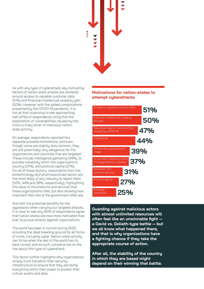

As with any type of cyberattack, key motivating factors of nation-state attacks are centered around access to valuable customer data (51%) and financial/intellectual property gain (50%). However, with the added complications presented by the COVID-19 pandemic, it is not all that surprising to see approaching half (47%) of respondents citing that the exploitation of vulnerabilities caused by the crisis is a key driver of malicious nationstate activity.

On average, respondents reported four separate possible motivations, and even though some are slightly less common, they are still potentially very dangerous for the organizations and countries that are targeted. These include intelligence gathering (44%), to provoke instability within the organization's country (37%), and political capital (27%). For all of these factors, respondents from the biotechnology and pharmaceuticals sector are the most likely of any industry to report them (52%, 44% and 36%, respectively), highlighting the value of the products and services that these organizations offer, but also showing how important their ties to the government often are.

And with the potential benefits for the aggressors when carrying out targeted attacks, it is clear to see why 83% of respondents agree that nation-states are now more motivated than ever to pursue attacks against organizations.

The world has been in turmoil during 2020, providing the ideal breeding ground for all forms of crime, including cyber. Nation-state activity can thrive when the rest of the world has its back turned, and as such, concerns are on the rise about this type of cyberattack.

This factor further highlights why organizations simply must transform their security infrastructure to ensure that they are doing everything within their power to protect their critical assets and data.

### **Motivations for nation-states to attempt cyberattacks**



**Guarding against malicious actors with almost unlimited resources will often feel like an unwinnable fight a David vs. Goliath-type battle — but we all know what happened there, and that is why organizations have a fighting chance if they take the appropriate course of action.** 

**After all, the stability of the country in which they are based might depend on their winning that battle.**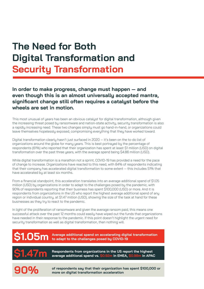## **The Need for Both Digital Transformation and Security Transformation**

### **In order to make progress, change must happen — and even though this is an almost universally accepted mantra, significant change still often requires a catalyst before the wheels are set in motion.**

This most unusual of years has been an obvious catalyst for digital transformation, although given the increasing threat posed by ransomware and nation-state activity, security transformation is also a rapidly increasing need. These two changes simply must go hand-in-hand, or organizations could leave themselves hopelessly exposed, compromising everything that they have worked toward.

Digital transformation clearly hasn't just surfaced in 2020 — it's been on the to-do list of organizations around the globe for many years. This is best portrayed by the percentage of respondents (61%) who reported that their organization has spent at least \$1 million (USD) on digital transformation over the past three years, with the average spend being \$4.86 million (USD).

While digital transformation is a marathon not a sprint, COVID-19 has provided a need for the pace of change to increase. Organizations have reacted to this need, with 84% of respondents indicating that their company has accelerated digital transformation to some extent — this includes 51% that have accelerated by at least six months.

From a financial standpoint, this acceleration translates into an average additional spend of \$1.05 million (USD) by organizations in order to adapt to the challenges posed by the pandemic, with 90% of respondents reporting that their business has spent \$100,000 (USD) or more. And it is respondents from organizations in the US who report the highest average additional spend of any region or individual country, at \$1.47 million (USD), showing the size of the task at hand for these businesses as they try to react to the pandemic.

In light of the proliferation of ransomware and given the average ransom paid, this means one successful attack over the past 12 months could easily have wiped out the funds that organizations have needed in their response to the pandemic. If this point doesn't highlight the urgent need for security transformation as well as digital transformation, then nothing will.

#### **\$1.05m Average additional spend on accelerating digital transformation to adapt to the challenges posed by COVID-19**

**\$1.47m**

**Respondents from organizations in the US report the highest average additional spend vs. \$0.92m in EMEA, \$0.98m in APAC**

**90%**

**of respondents say that their organization has spent \$100,000 or more on digital transformation acceleration**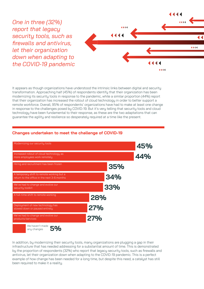*One in three (32%) report that legacy security tools, such as firewalls and antivirus, let their organization down when adapting to the COVID-19 pandemic*

It appears as though organizations have understood the intrinsic links between digital and security transformation. Approaching half (45%) of respondents identify that their organization has been modernizing its security tools in response to the pandemic, while a similar proportion (44%) report that their organization has increased the rollout of cloud technology in order to better support a remote workforce. Overall, 95% of respondents' organizations have had to make at least one change in response to the challenges posed by COVID-19. But it's very telling that security tools and cloud technology have been fundamental to their response, as these are the two adaptations that can guarantee the agility and resilience so desperately required at a time like the present.

4444

4444

### **Changes undertaken to meet the challenge of COVID-19**



In addition, by modernizing their security tools, many organizations are plugging a gap in their infrastructure that has needed addressing for a substantial amount of time. This is demonstrated by the proportion of respondents (32%) who report that legacy security tools, such as firewalls and antivirus, let their organization down when adapting to the COVID-19 pandemic. This is a perfect example of how change has been needed for a long time, but despite this need, a catalyst has still been required to make it a reality.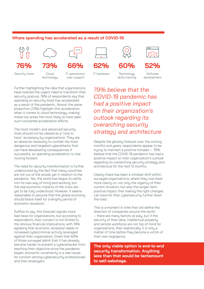### **Where spending has accelerated as a result of COVID-19**





**66%**

Security tools

Cloud technology

**73%**



Further highlighting the idea that organizations have realized the urgent need to transform their security posture, 76% of respondents say that spending on security tools has accelerated as a result of the pandemic. Almost the same proportion (73%) highlight this acceleration when it comes to cloud technology, making these two areas the most likely to have seen such concerted acceleration efforts.

The most modern and advanced security tools should not be viewed as a "nice to have" accessory by organizations. They are an absolute necessity to combat the most dangerous and targeted cyberattacks that can have devastating consequences if successful, so spending acceleration is vital moving forward.

The need for security transformation is further underscored by the fact that many countries are not out of the woods yet in relation to the pandemic. Yes, the world has begun to settle into its new way of living and working, but the real economic impacts of the crisis are yet to be fully understood. However, it seems reasonable to assume that the global economy should brace itself for a lengthy period of economic recession.

Suffice to say, this forecast signals more bad news for organizations, but according to respondents, their concern is not limited to the obvious financial implications, with 74% agreeing that economic recession leads to increased cubercriminal activitu leveraged against their organization. Given that 60% of those surveued admit that it has already become harder to prevent a cuberattacker from reaching their objective since the pandemic began, economic uncertainty is a real cause for concern among cybersecurity professionals and their employers.



IT hardware

**60%**



**Technology** skills training

Software development

*79% believe that the COVID-19 pandemic has had a positive impact on their organization's outlook regarding its overarching security strategy and architecture*

Despite the gloomy forecast over the coming months and years, respondents appear to be trying to maintain a positive mindset — 79% believe that the COVID-19 pandemic has had a positive impact on their organization's outlook regarding its overarching security strategy and architecture for the next 12 months.

Clearly there has been a mindset shift within surveyed organizations, where they now have more clarity on, not only the urgency of their current situation, but also the longer-term positive impact that making the right changes can have for their cybersecurity further down the road.

This is a moment in time that will define the direction of companies around the world – there are many factors at play, but if the security of their data, intellectual property, and remote workforce are not top of mind for organizations, then realistically it is only a matter of time before they become a victim of their own negligence.

**The only viable option is end-to-end security transformation. Anything less than that would be tantamount to self-sabotage.**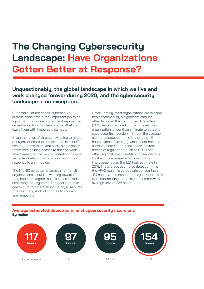## **The Changing Cybersecurity Landscape: Have Organizations Gotten Better at Response?**

### **Unquestionably, the global landscape in which we live and work changed forever during 2020, and the cybersecurity landscape is no exception.**

But amid all of the chaos, cybersecurity professionals have a very important job to do a job that if not done properly will expose their organization to untold levels of risk that could leave them with irreparable damage.

Given the range of threats now being targeted at organizations, it is unrealistic to expect IT security teams to prevent every single one of these from gaining access to their network. This means that the key to defending the most valuable assets of the business lies in their response to an intrusion.

The 1-10-60 paradigm is something that all organizations should be working toward if they hope to mitigate the risks of an intruder accessing their systems. The goal is to take one minute to detect an incursion, 10 minutes to investigate, and 60 minutes to contain and remediate.

Unfortunately, most organizations are missing this benchmark by a significant amount, often falling at the first hurdle. Nine in ten (90%) respondents admit that it takes their organization longer than a minute to detect a cybersecurity incursion — in fact, the average estimated detection time is a lengthy 117 hours (almost five days), which if not handled correctly could put organizations in direct breach of regulations, such as GDPR and other regional breach notification regulations. Further, this average reflects very little improvement over the 120-hour estimate in 2019. The average estimated detection time in the APAC region is particularly concerning at 154 hours, with respondents' organizations from India contributing to this higher number, with an average time of 228 hours.

#### **Average estimated detection time of cybersecurity incursions By region**

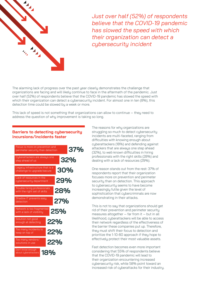

*Just over half (52%) of respondents believe that the COVID-19 pandemic has slowed the speed with which their organization can detect a cybersecurity incident*

The alarming lack of progress over the past year clearly demonstrates the challenge that organizations are facing and will likely continue to face in the aftermath of the pandemic. Just over half (52%) of respondents believe that the COVID-19 pandemic has slowed the speed with which their organization can detect a cybersecurity incident. For almost one in ten (8%), this detection time could be slowed by a week or more.

This lack of speed is not something that organizations can allow to continue — they need to address the question of why improvement is taking so long.

#### Focus is more on prevention and perimeter security than detection **370 0 32% 30% 29% 28% 27% 25% 22% 22% 18% 22%** Legacy infrastructure that is a challenge to upgrade/secure Trouble hiring professionals with the right set of skills Network is too fragmented with a lack of visibility Too many vendors/ solutions in use Too many incidents to keep on top of Cyberattackers are always one step ahead of us Lack of resources in the cybersecurity department Shadow IT prevents easy detection Solution not good enough at detecting Don't know enougl about cyberattackers **incursions/incidents faster**

The reasons for why organizations are struggling so much to detect cybersecurity incidents are multi-faceted, ranging from difficulties with knowing enough about cyberattackers (18%) and defending against attackers that are always one step ahead (32%), to well-known difficulties in hiring professionals with the right skills (28%) and dealing with a lack of resources (29%).

One reason stands out from the rest: 37% of respondents report that their organization focuses more on prevention and perimeter security than on detection. This approach to cybersecurity seems to have become increasingly futile given the level of sophistication that cybercriminals are now demonstrating in their attacks.

This is not to say that organizations should get rid of their prevention and perimeter security measures altogether — far from it — but in all likelihood, cyberattackers will be able to access their network regardless of the effectiveness of the barrier these companies put up. Therefore, they must shift their focus to detection and prioritize the 1-10-60 approach if they hope to effectively protect their most valuable assets.

Fast detection becomes even more important considering that 55% of respondents believe that the COVID-19 pandemic will lead to their organization encountering increased cybersecurity risk, while 58% point toward an increased risk of cyberattacks for their industry.

## **Barriers to detecting cybersecurity**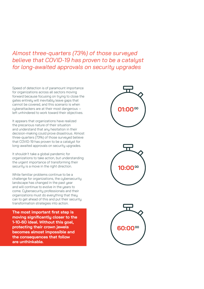## *Almost three-quarters (73%) of those surveyed believe that COVID-19 has proven to be a catalyst for long-awaited approvals on security upgrades*

Speed of detection is of paramount importance for organizations across all sectors moving forward because focusing on trying to close the gates entirely will inevitably leave gaps that cannot be covered, and this scenario is when cyberattackers are at their most dangerous left unhindered to work toward their objectives.

It appears that organizations have realized the precarious nature of their situation and understand that any hesitation in their decision-making could prove disastrous. Almost three-quarters (73%) of those surveyed believe that COVID-19 has proven to be a catalyst for long-awaited approvals on security upgrades.

It shouldn't take a global pandemic for organizations to take action, but understanding the urgent importance of transforming their security is a move in the right direction.

While familiar problems continue to be a challenge for organizations, the cybersecurity landscape has changed in the past year and will continue to evolve in the years to come. Cybersecurity professionals and their organizations must do everything that they can to get ahead of this and put their security transformation strategies into action.

**The most important first step is moving significantly closer to the 1-10-60 ideal. Without this goal, protecting their crown jewels becomes almost impossible and the consequences that follow are unthinkable.**





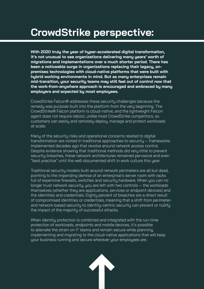## **CrowdStrike perspective:**

**With 2020 truly the year of hyper-accelerated digital transformation, it's not unusual to see organizations delivering many years' worth of migrations and implementations over a much shorter period. There has been a noticeable surge in organizations replacing their legacy, onpremises technologies with cloud-native platforms that were built with hybrid working environments in mind. But as many enterprises remain mid-transition, your security teams may still feel out of control now that the work-from-anywhere approach is encouraged and embraced by many employers and expected by most employees.**

CrowdStrike Falcon® addresses these security challenges because the remedy was purpose-built into the platform from the very beginning. The CrowdStrike® Falcon platform is cloud-native, and the lightweight Falcon agent does not require reboot, unlike most CrowdStrike competitors, so customers can easily and remotely deploy, manage and protect workloads at scale.

Many of the security risks and operational concerns related to digital transformation are rooted in traditional approaches to security — frameworks implemented decades ago that revolve around network access control. Despite evidence showing that traditional methods did very little to prevent security breaches, these network architectures remained pervasive and even "best practice" until the well-documented shift in work culture this year.

Traditional security models built around network perimeters are all but dead, pointing to the impending demise of an enterprise's server room with racks full of expensive firewalls, switches and security hardware. When you can no longer trust network security, you are left with two controls — the workloads themselves (whether they are applications, services or endpoint devices) and the identities and credentials. Eighty percent of breaches are a direct result of compromised identities or credentials, meaning that a shift from perimeterand network-based security to identity-centric security can prevent or nullify the impact of the majority of successful attacks.

When identity protection is combined and integrated with the run-time protection of workloads, endpoints and mobile devices, it's possible to alleviate the strain on IT teams and remain secure while planning, implementing and migrating to the cloud-native applications that will keep your business running and secure wherever your employees are.

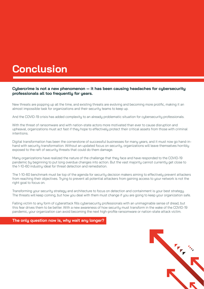## **Conclusion**

### **Cybercrime is not a new phenomenon — it has been causing headaches for cybersecurity professionals all too frequently for years.**

New threats are popping up all the time, and existing threats are evolving and becoming more prolific, making it an almost impossible task for organizations and their security teams to keep up.

And the COVID-19 crisis has added complexity to an already problematic situation for cybersecurity professionals.

With the threat of ransomware and with nation-state actors more motivated than ever to cause disruption and upheaval, organizations must act fast if they hope to effectively protect their critical assets from those with criminal intentions.

Digital transformation has been the cornerstone of successful businesses for many years, and it must now go hand-inhand with security transformation. Without an updated focus on security, organizations will leave themselves horribly exposed to the raft of security threats that could do them damage.

Many organizations have realized the nature of the challenge that they face and have responded to the COVID-19 pandemic by beginning to put long overdue changes into action. But the vast majority cannot currently get close to the 1-10-60 industry ideal for threat detection and remediation.

The 1-10-60 benchmark must be top of the agenda for security decision makers aiming to effectively prevent attackers from reaching their objectives. Trying to prevent all potential attackers from gaining access to your network is not the right goal to focus on.

Transforming your security strategy and architecture to focus on detection and containment is your best strategy. The threats will keep coming, but how you deal with them must change if you are going to keep your organization safe.

Falling victim to any form of cyberattack fills cybersecurity professionals with an unimaginable sense of dread, but this fear drives them to be better. With a new awareness of how security must transform in the wake of the COVID-19 pandemic, your organization can avoid becoming the next high-profile ransomware or nation-state attack victim.

#### **The only question now is, why wait any longer?**

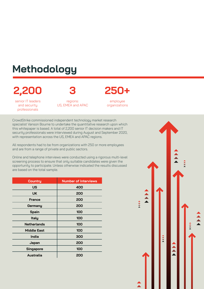## **Methodology**

## **2,200**

**3**

senior IT leaders and security professionals

regions: US, EMEA and APAC **250+**

employee organizations

CrowdStrike commissioned independent technology market research specialist Vanson Bourne to undertake the quantitative research upon which this whitepaper is based. A total of 2,200 senior IT decision makers and IT security professionals were interviewed during August and September 2020, with representation across the US, EMEA and APAC regions.

All respondents had to be from organizations with 250 or more employees and are from a range of private and public sectors.

Online and telephone interviews were conducted using a rigorous multi-level screening process to ensure that only suitable candidates were given the opportunity to participate. Unless otherwise indicated the results discussed are based on the total sample.

| <b>Country</b>     | <b>Number of interviews</b> |
|--------------------|-----------------------------|
| <b>US</b>          | 400                         |
| UK                 | 200                         |
| <b>France</b>      | 200                         |
| Germany            | 200                         |
| <b>Spain</b>       | 100                         |
| <b>Italy</b>       | 100                         |
| <b>Netherlands</b> | 100                         |
| <b>Middle East</b> | 100                         |
| <b>India</b>       | 300                         |
| Japan              | 200                         |
| <b>Singapore</b>   | 100                         |
| Australia          | 200                         |